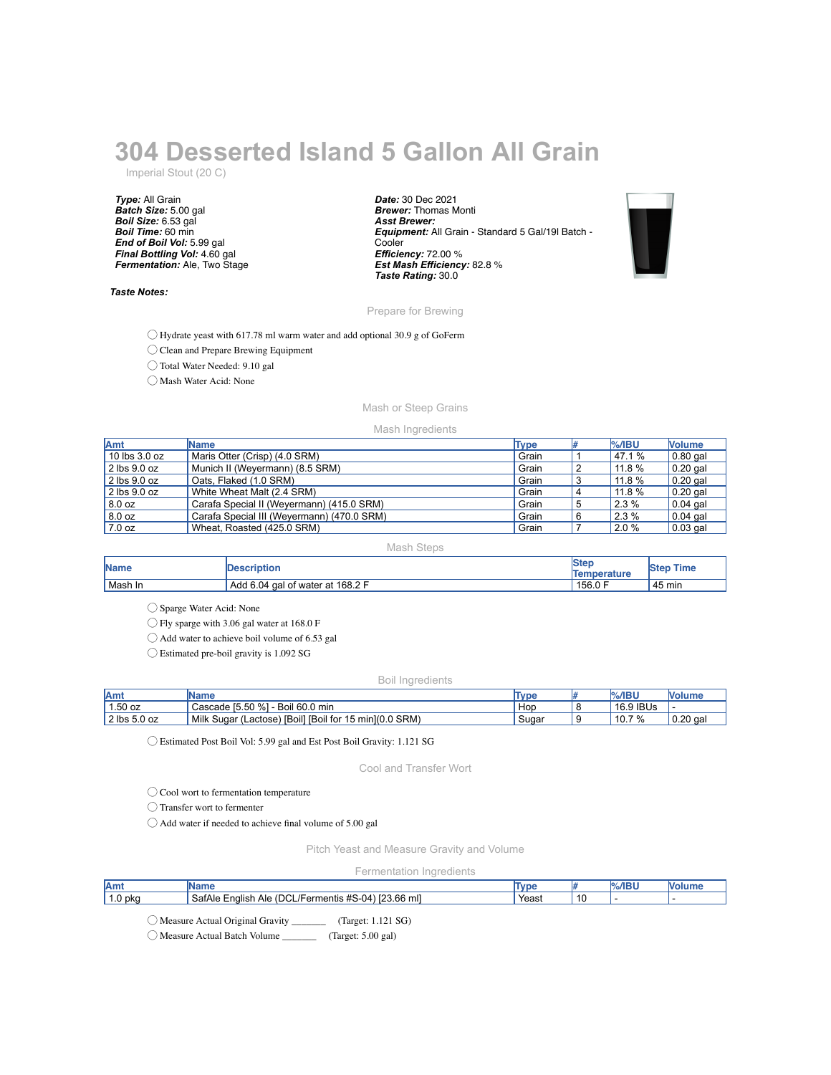# **304 Desserted Island 5 Gallon All Grain**

Imperial Stout (20 C)

*Type:* All Grain *Batch Size:* 5.00 gal *Boil Size:* 6.53 gal *Boil Time:* 60 min *End of Boil Vol:* 5.99 gal *Final Bottling Vol:* 4.60 gal *Fermentation:* Ale, Two Stage

#### *Taste Notes:*

*Date:* 30 Dec 2021 *Brewer:* Thomas Monti *Asst Brewer: Equipment:* All Grain - Standard 5 Gal/19l Batch - **Cooler** *Efficiency:* 72.00 % *Est Mash Efficiency:* 82.8 % *Taste Rating:* 30.0



#### Prepare for Brewing

◯ Hydrate yeast with 617.78 ml warm water and add optional 30.9 g of GoFerm

◯ Clean and Prepare Brewing Equipment

◯ Total Water Needed: 9.10 gal

◯ Mash Water Acid: None

### Mash or Steep Grains

#### Mash Ingredients

| Amt              | <b>Name</b>                                | <b>Type</b> |   | $%$ /IBU | <b>Nolume</b>    |
|------------------|--------------------------------------------|-------------|---|----------|------------------|
| $10$ lbs 3.0 oz  | Maris Otter (Crisp) (4.0 SRM)              | Grain       |   | 47.1 %   | $\vert$ 0.80 gal |
| $2$ lbs $9.0$ oz | Munich II (Weyermann) (8.5 SRM)            | Grain       |   | 11.8%    | $\vert$ 0.20 gal |
| $2$ lbs $9.0$ oz | Oats. Flaked (1.0 SRM)                     | Grain       |   | 11.8 %   | $\vert$ 0.20 gal |
| $2$ lbs $9.0$ oz | White Wheat Malt (2.4 SRM)                 | Grain       |   | 11.8 %   | $0.20$ gal       |
| 8.0 oz           | Carafa Special II (Weyermann) (415.0 SRM)  | Grain       | 5 | 2.3 %    | $\vert$ 0.04 gal |
| 8.0 oz           | Carafa Special III (Weyermann) (470.0 SRM) | Grain       | 6 | 2.3%     | $\vert$ 0.04 gal |
| 17.0 oz          | Wheat, Roasted (425.0 SRM)                 | Grain       |   | 2.0 %    | $\vert$ 0.03 gal |

#### Mash Steps

| <b>Name</b> | <b>Description</b>               | <b>Step</b><br>Temperature | Time<br><b>IStep</b> |
|-------------|----------------------------------|----------------------------|----------------------|
| Mash In     | Add 6.04 gal of water at 168.2 F | 156.0 F                    | 45 min               |

◯ Sparge Water Acid: None

◯ Fly sparge with 3.06 gal water at 168.0 F

◯ Add water to achieve boil volume of 6.53 gal

◯ Estimated pre-boil gravity is 1.092 SG

#### Boil Ingredients

| Amt          | <b>IName</b>                                            | <b>Type</b> | $%$ /IBU  | <b>Nolume</b> |
|--------------|---------------------------------------------------------|-------------|-----------|---------------|
| $1.50$ oz    | Cascade [5.50 %] - Boil 60.0 min                        | Hop         | 16.9 IBUs |               |
| 2 lbs 5.0 oz | Milk Sugar (Lactose) [Boil] [Boil for 15 min] (0.0 SRM) | Sugar       | $10.7\%$  | $0.20$ gal    |

◯ Estimated Post Boil Vol: 5.99 gal and Est Post Boil Gravity: 1.121 SG

Cool and Transfer Wort

◯ Cool wort to fermentation temperature

◯ Transfer wort to fermenter

◯ Add water if needed to achieve final volume of 5.00 gal

Pitch Yeast and Measure Gravity and Volume

#### Fermentation Ingredients

| 'Ami<br>٦m٤       |                                                                            | Tvn   | $\sim$ $\sim$ $\sim$<br>%/IB\ | IVOIUI |
|-------------------|----------------------------------------------------------------------------|-------|-------------------------------|--------|
| 1.0 pkg<br>SatAle | 23.66 mll<br><b>POP</b><br>(DCL/Fern<br>Ale<br>:nalish<br>mentis<br>`#5-U4 | Yeast |                               |        |

◯ Measure Actual Original Gravity \_\_\_\_\_\_\_ (Target: 1.121 SG)

◯ Measure Actual Batch Volume \_\_\_\_\_\_\_ (Target: 5.00 gal)